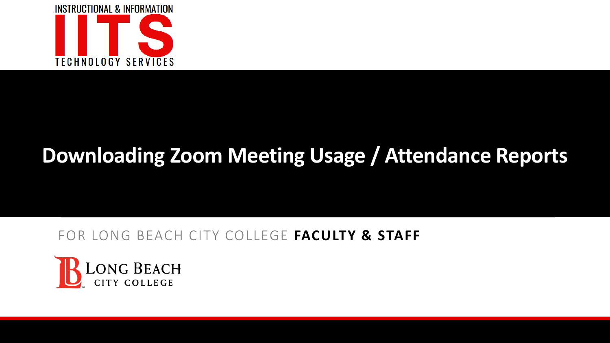

### FOR LONG BEACH CITY COLLEGE **FACULTY & STAFF**

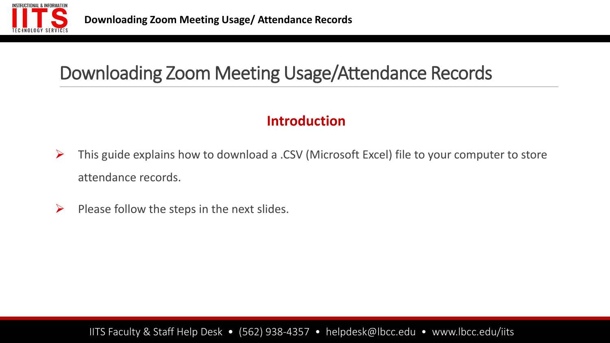

### **Introduction**

- ➢ This guide explains how to download a .CSV (Microsoft Excel) file to your computer to store attendance records.
- $\triangleright$  Please follow the steps in the next slides.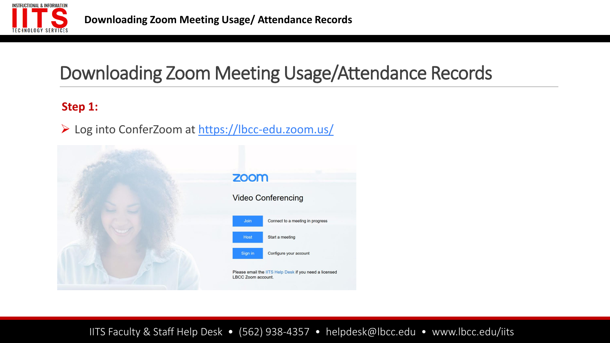

#### **Step 1:**

➢ Log into ConferZoom at <https://lbcc-edu.zoom.us/>

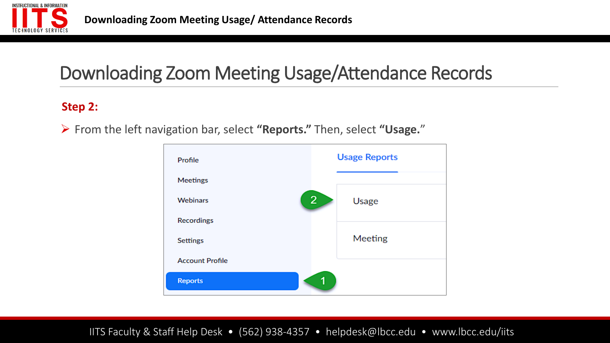

#### **Step 2:**

➢ From the left navigation bar, select **"Reports."** Then, select **"Usage.**"

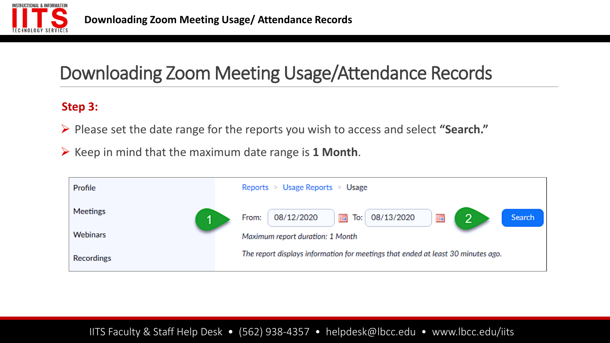

#### **Step 3:**

- ➢ Please set the date range for the reports you wish to access and select **"Search."**
- ➢ Keep in mind that the maximum date range is **1 Month**.

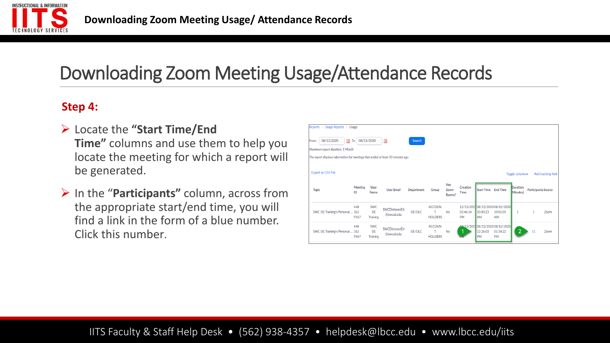

#### **Step 4:**

- ➢ Locate the **"Start Time/End Time"** columns and use them to help you locate the meeting for which a report will be generated.
- ➢ In the "**Participants"** column, across from the appropriate start/end time, you will find a link in the form of a blue number. Click this number.

| Reports > Usage Reports > Usage                                                  |                      |                                     |                             |               |                                      |             |                         |                       |                                                    |                                                |                            |                    |
|----------------------------------------------------------------------------------|----------------------|-------------------------------------|-----------------------------|---------------|--------------------------------------|-------------|-------------------------|-----------------------|----------------------------------------------------|------------------------------------------------|----------------------------|--------------------|
| 08/12/2020<br>08/13/2020<br>■<br>To:<br>▦<br>Search<br>From:                     |                      |                                     |                             |               |                                      |             |                         |                       |                                                    |                                                |                            |                    |
| Maximum report duration: 1 Month                                                 |                      |                                     |                             |               |                                      |             |                         |                       |                                                    |                                                |                            |                    |
| The report displays information for meetings that ended at least 30 minutes ago. |                      |                                     |                             |               |                                      |             |                         |                       |                                                    |                                                |                            |                    |
| <b>Export as CSV File</b><br><b>Topic</b>                                        | <b>Meeting</b><br>ID | <b>User</b><br>Name                 | <b>User Email</b>           | Department    | Group                                | Has<br>Zoom | Creation<br><b>Time</b> | Start Time End Time   |                                                    | Toggle columns-<br><b>Duration</b><br>Minutes) | <b>Participants Source</b> | Add tracking field |
|                                                                                  |                      |                                     |                             |               |                                      | Rooms?      |                         |                       |                                                    |                                                |                            |                    |
| SWC DE Training's Personal  362                                                  | 448<br>9567          | <b>SWC</b><br>DE<br><b>Training</b> | SWCDistanceEd<br>@swccd.edu | DE/OLC        | <b>ACCOUN</b><br>т<br><b>HOLDERS</b> | <b>No</b>   | 02:46:14<br><b>PM</b>   | 10:00:23<br><b>AM</b> | 12/13/2017 08/12/2020 08/12/2020<br>10:01:05<br>AM | 1                                              |                            | Zoom               |
| SWC DE Training's Personal  362                                                  | 448<br>9567          | <b>SWC</b><br>DE<br><b>Training</b> | SWCDistanceEd<br>@swccd.edu | <b>DE/OLC</b> | <b>ACCOUN</b><br><b>HOLDERS</b>      | <b>No</b>   |                         | 12:26:03<br><b>PM</b> | 49/13/201708/12/202008/12/2020<br>01:34:22<br>PM   | റ                                              | 11                         | Zoom               |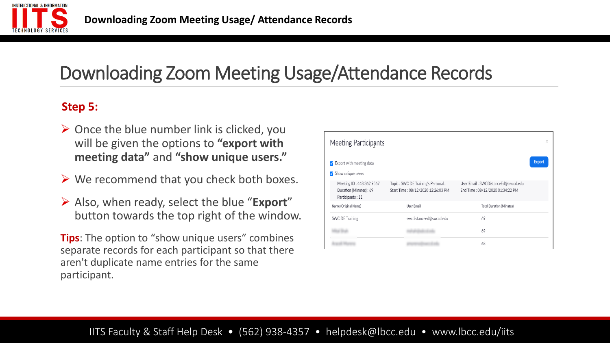

#### **Step 5:**

- $\triangleright$  Once the blue number link is clicked, you will be given the options to **"export with meeting data"** and **"show unique users."**
- $\triangleright$  We recommend that you check both boxes.
- ➢ Also, when ready, select the blue "**Export**" button towards the top right of the window.

**Tips**: The option to "show unique users" combines separate records for each participant so that there aren't duplicate name entries for the same participant.

| Meeting Participants                                                   |                                                                         |                                                                         | Χ             |
|------------------------------------------------------------------------|-------------------------------------------------------------------------|-------------------------------------------------------------------------|---------------|
| √ Export with meeting data<br>$\sqrt{\ }$ Show unique users            |                                                                         |                                                                         | <b>Export</b> |
| Meeting ID: 448 362 9567<br>Duration (Minutes): 69<br>Participants: 11 | Topic: SWC DE Training's Personal<br>Start Time: 08/12/2020 12:26:03 PM | User Email: SWCDistanceEd@swccd.edu<br>End Time: 08/12/2020 01:34:22 PM |               |
| Name (Original Name)                                                   | User Email                                                              | <b>Total Duration (Minutes)</b>                                         |               |
| SWC DE Training                                                        | swcdistanceed@swccd.edu                                                 | 69                                                                      |               |
|                                                                        |                                                                         | 69                                                                      |               |
|                                                                        |                                                                         | 68                                                                      |               |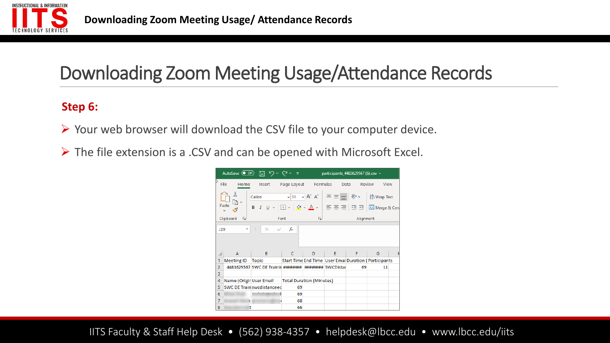

#### **Step 6:**

- ➢ Your web browser will download the CSV file to your computer device.
- ➢ The file extension is a .CSV and can be opened with Microsoft Excel.

|                |                                                                     |                                                                                                                                                                                                                              |                                 |                         | participants_4483629567 (6).csv +                      |           |                |  |  |
|----------------|---------------------------------------------------------------------|------------------------------------------------------------------------------------------------------------------------------------------------------------------------------------------------------------------------------|---------------------------------|-------------------------|--------------------------------------------------------|-----------|----------------|--|--|
|                | File<br>Home                                                        | Insert Page Layout Formulas                                                                                                                                                                                                  |                                 |                         |                                                        | Data      | Review<br>View |  |  |
|                | Х<br>Paste                                                          | Calibri $\left\  \cdot \right\ $ 11 $\left\  \cdot \right $ $A^* \left\  \right\  \equiv \equiv \equiv \mid \frac{1}{2}$ $\Rightarrow$ $\frac{1}{2}$ Wrap Text<br>B <i>I</i> U - ⊞ -   ᠿ - A - │ ☰ ☰ ☰   ㅌ 포│ 圓 Merge & Cen│ |                                 |                         |                                                        |           |                |  |  |
|                | Clipboard<br>$\overline{\mathbf{v}}$                                | Font                                                                                                                                                                                                                         |                                 | $\overline{\mathbf{y}}$ |                                                        | Alignment |                |  |  |
|                | fx<br>- 1<br>$\times$ $\checkmark$<br>J29<br>$\overline{\mathbf v}$ |                                                                                                                                                                                                                              |                                 |                         |                                                        |           |                |  |  |
|                |                                                                     |                                                                                                                                                                                                                              |                                 |                         |                                                        |           |                |  |  |
|                | A                                                                   | B.                                                                                                                                                                                                                           | C                               | D                       | E.                                                     | F         | G              |  |  |
| 1              |                                                                     | Meeting ID Topic                                                                                                                                                                                                             |                                 |                         | Start Time End Time   User Emai Duration (Participants |           |                |  |  |
| $\overline{2}$ |                                                                     | 4483629567 SWC DE Trainit ########                                                                                                                                                                                           |                                 |                         | ######## SWCDistai                                     | 69        | 11             |  |  |
| 3              |                                                                     |                                                                                                                                                                                                                              |                                 |                         |                                                        |           |                |  |  |
| $\overline{4}$ |                                                                     | Name (Origir User Email                                                                                                                                                                                                      | <b>Total Duration (Minutes)</b> |                         |                                                        |           |                |  |  |
| 5              | SWC DE Train swcdistanceed                                          |                                                                                                                                                                                                                              | 69                              |                         |                                                        |           |                |  |  |
| 6              |                                                                     |                                                                                                                                                                                                                              | 69                              |                         |                                                        |           |                |  |  |
| 7              | э                                                                   |                                                                                                                                                                                                                              | 68                              |                         |                                                        |           |                |  |  |
| 8              | It.                                                                 |                                                                                                                                                                                                                              | 66                              |                         |                                                        |           |                |  |  |